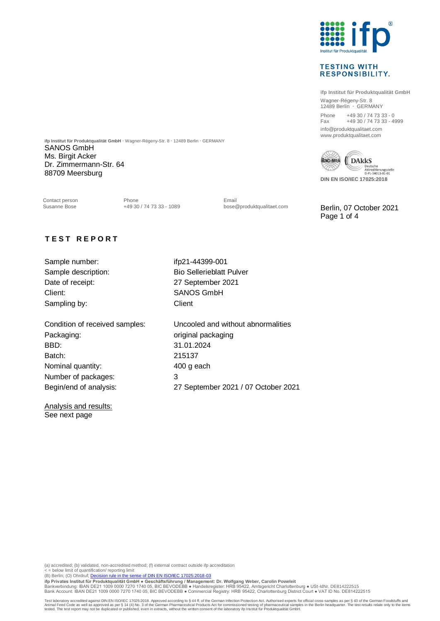

## **TESTING WITH RESPONSIBILITY.**

**ifp Institut für Produktqualität GmbH** Wagner-Régeny-Str. 8 12489 Berlin · GERMANY Phone +49 30 / 74 73 33 - 0 Fax +49 30 / 74 73 33 - 4999 info@produktqualitaet.com www.produktqualitaet.com



SANOS GmbH Ms. Birgit Acker

**ifp Institut für Produktqualität GmbH** · Wagner-Régeny-Str. 8 · 12489 Berlin · GERMANY

Contact person **Email**<br>
Susanne Bose **19** 30 / 74 73 33 - 1089 **Email**<br>
bose@produktqualitaet.com

Berlin, 07 October 2021 Page 1 of 4

## **T E S T R E P O R T**

Dr. Zimmermann-Str. 64 88709 Meersburg

Sample number: ifp21-44399-001 Sample description: Bio Sellerieblatt Pulver Date of receipt: 27 September 2021 Client: SANOS GmbH Sampling by: Client

Packaging: packaging: packaging packaging BBD: 31.01.2024 Batch: 215137 Nominal quantity: 400 g each Number of packages: 3 Begin/end of analysis: 27 September 2021 / 07 October 2021

Condition of received samples: Uncooled and without abnormalities

Analysis and results: See next page

(a) accredited; (b) validated, non-accredited method; (f) external contract outside ifp accreditation

< = below limit of quantification/ reporting limit<br>(B) Berlin; (O) Ohrdruf; <u>Decision rule in the sense of DIN EN ISO/IEC 17025:2018-03</u>

ifp Privates Institut für Produktqualität GmbH ● Geschäftsführung / Management: Dr. Wolfgang Weber, Carolin Poweleit<br>Bankverbindung: IBAN DE21 1009 0000 7270 1740 05, BIC BEVODEBB ● Handelsregister: HRB 95422, Amtsgericht Bank Account: IBAN DE21 1009 0000 7270 1740 05, BIC BEVODEBB ● Commercial Registry: HRB 95422, Charlottenburg District Court ● VAT ID No. DE814222515

Test laboratory accredited against DIN EN ISO/IEC 17025:2018. Approved according to § 44 ff. of the German Infection Protection Act. Authorised experts for official cross-samples as per § 43 of the German Foodstuffs and<br>An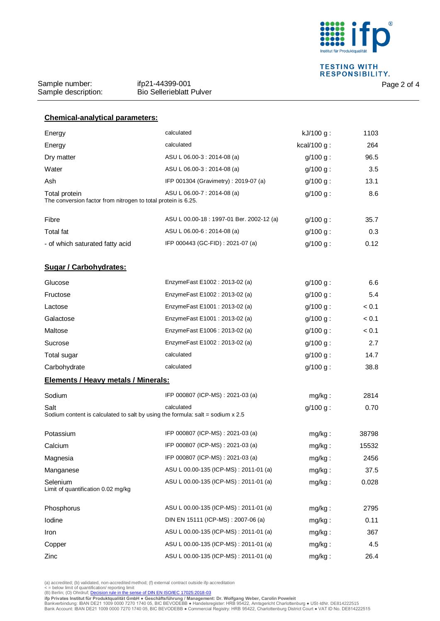

**TESTING WITH<br>RESPONSIBILITY.** 

Sample number: Sample description:

| <b>Chemical-analytical parameters:</b>                                                                                              |                                           |                |       |  |
|-------------------------------------------------------------------------------------------------------------------------------------|-------------------------------------------|----------------|-------|--|
| Energy                                                                                                                              | calculated                                | $kJ/100 g$ :   | 1103  |  |
| Energy                                                                                                                              | calculated                                | kcal/100 $g$ : | 264   |  |
| Dry matter                                                                                                                          | ASU L 06.00-3 : 2014-08 (a)               | $g/100 g$ :    | 96.5  |  |
| Water                                                                                                                               | ASU L 06.00-3 : 2014-08 (a)               | $g/100 g$ :    | 3.5   |  |
| Ash                                                                                                                                 | IFP 001304 (Gravimetry): 2019-07 (a)      | $g/100 g$ :    | 13.1  |  |
| ASU L 06.00-7 : 2014-08 (a)<br>8.6<br>Total protein<br>$g/100 g$ :<br>The conversion factor from nitrogen to total protein is 6.25. |                                           |                |       |  |
| Fibre                                                                                                                               | ASU L 00.00-18 : 1997-01 Ber. 2002-12 (a) | $g/100 g$ :    | 35.7  |  |
| <b>Total fat</b>                                                                                                                    | ASU L 06.00-6 : 2014-08 (a)               | $g/100 g$ :    | 0.3   |  |
| - of which saturated fatty acid                                                                                                     | IFP 000443 (GC-FID) : 2021-07 (a)         | $g/100 g$ :    | 0.12  |  |
| <b>Sugar / Carbohydrates:</b>                                                                                                       |                                           |                |       |  |
| Glucose                                                                                                                             | EnzymeFast E1002: 2013-02 (a)             | $g/100 g$ :    | 6.6   |  |
| Fructose                                                                                                                            | EnzymeFast E1002: 2013-02 (a)             | $g/100 g$ :    | 5.4   |  |
| Lactose                                                                                                                             | EnzymeFast E1001: 2013-02 (a)             | $g/100 g$ :    | < 0.1 |  |
| Galactose                                                                                                                           | EnzymeFast E1001: 2013-02 (a)             | $q/100 q$ :    | < 0.1 |  |
| Maltose                                                                                                                             | EnzymeFast E1006: 2013-02 (a)             | $g/100 g$ :    | < 0.1 |  |
| Sucrose                                                                                                                             | EnzymeFast E1002: 2013-02 (a)             | $g/100 g$ :    | 2.7   |  |
| Total sugar                                                                                                                         | calculated                                | $g/100 g$ :    | 14.7  |  |
| Carbohydrate                                                                                                                        | calculated                                | $g/100 g$ :    | 38.8  |  |
| <b>Elements / Heavy metals / Minerals:</b>                                                                                          |                                           |                |       |  |
| Sodium                                                                                                                              | IFP 000807 (ICP-MS): 2021-03 (a)          | mg/kg:         | 2814  |  |
| calculated<br>Salt<br>$g/100 g$ :<br>0.70<br>Sodium content is calculated to salt by using the formula: salt = sodium $x 2.5$       |                                           |                |       |  |
| Potassium                                                                                                                           | IFP 000807 (ICP-MS): 2021-03 (a)          | mg/kg:         | 38798 |  |
| Calcium                                                                                                                             | IFP 000807 (ICP-MS): 2021-03 (a)          | mg/kg:         | 15532 |  |
| Magnesia                                                                                                                            | IFP 000807 (ICP-MS): 2021-03 (a)          | mg/kg:         | 2456  |  |
| Manganese                                                                                                                           | ASU L 00.00-135 (ICP-MS): 2011-01 (a)     | mg/kg:         | 37.5  |  |
| Selenium<br>Limit of quantification 0.02 mg/kg                                                                                      | ASU L 00.00-135 (ICP-MS) : 2011-01 (a)    | mg/kg:         | 0.028 |  |
| Phosphorus                                                                                                                          | ASU L 00.00-135 (ICP-MS) : 2011-01 (a)    | mg/kg:         | 2795  |  |
| lodine                                                                                                                              | DIN EN 15111 (ICP-MS) : 2007-06 (a)       | mg/kg:         | 0.11  |  |
| Iron                                                                                                                                | ASU L 00.00-135 (ICP-MS): 2011-01 (a)     | mg/kg:         | 367   |  |
| Copper                                                                                                                              | ASU L 00.00-135 (ICP-MS) : 2011-01 (a)    | mg/kg:         | 4.5   |  |
| Zinc                                                                                                                                | ASU L 00.00-135 (ICP-MS) : 2011-01 (a)    | mg/kg:         | 26.4  |  |

(a) accredited; (b) validated, non-accredited method; (f) external contract outside ifp accreditation<br>< = below limit of quantification/ reporting limit<br>(B) Berlin; (O) Ohrdruf; <u>Decision rule in the sense of DIN EN ISO/I</u>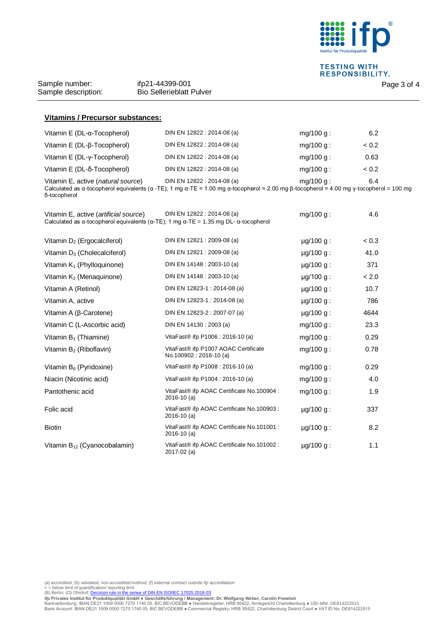

**TESTING WITH<br>RESPONSIBILITY.** 

Sample number: Sample description:

| <b>Vitamins / Precursor substances:</b> |                                                                                                                                                                                                           |              |       |
|-----------------------------------------|-----------------------------------------------------------------------------------------------------------------------------------------------------------------------------------------------------------|--------------|-------|
| Vitamin $E$ (DL- $\alpha$ -Tocopherol)  | DIN EN 12822 : 2014-08 (a)                                                                                                                                                                                | $mq/100 q$ : | 6.2   |
| Vitamin E (DL-β-Tocopherol)             | DIN EN 12822 : 2014-08 (a)                                                                                                                                                                                | $mq/100 q$ : | < 0.2 |
| Vitamin E (DL-y-Tocopherol)             | DIN EN 12822 : 2014-08 (a)                                                                                                                                                                                | $mq/100 q$ : | 0.63  |
| Vitamin E (DL-δ-Tocopherol)             | DIN EN 12822 : 2014-08 (a)                                                                                                                                                                                | $mq/100 q$ : | < 0.2 |
| Vitamin E, active (natural source)      | DIN EN 12822 : 2014-08 (a)<br>Calculated as $\alpha$ -tocopherol equivalents ( $\alpha$ -TE); 1 mg $\alpha$ -TE = 1.00 mg $\alpha$ -tocopherol = 2.00 mg $\beta$ -tocopherol = 4.00 mg y-tocopherol = 100 | $mg/100 g$ : | 6.4   |

Calculated as α-tocopherol equivalents (α -TE); 1 mg α-TE = 1.00 mg α-tocopherol = 2.00 mg β-tocopherol = 4.00 mg γ-tocopherol = 100 mg δ-tocopherol

| DIN EN 12822 : 2014-08 (a)<br>Vitamin E, active (artificial source)<br>$mg/100 g$ :<br>4.6<br>Calculated as $\alpha$ -tocopherol equivalents ( $\alpha$ -TE); 1 mg $\alpha$ -TE = 1.35 mg DL- $\alpha$ -tocopherol |                                                                |                |       |  |
|--------------------------------------------------------------------------------------------------------------------------------------------------------------------------------------------------------------------|----------------------------------------------------------------|----------------|-------|--|
| Vitamin $D_2$ (Ergocalciferol)                                                                                                                                                                                     | DIN EN 12821 : 2009-08 (a)                                     | $\mu$ g/100 g: | < 0.3 |  |
| Vitamin D <sub>3</sub> (Cholecalciferol)                                                                                                                                                                           | DIN EN 12821 : 2009-08 (a)                                     | $\mu$ g/100 g: | 41.0  |  |
| Vitamin $K_1$ (Phylloquinone)                                                                                                                                                                                      | DIN EN 14148 : 2003-10 (a)                                     | $\mu$ g/100 g: | 371   |  |
| Vitamin K <sub>2</sub> (Menaquinone)                                                                                                                                                                               | DIN EN 14148 : 2003-10 (a)                                     | $\mu$ g/100 g: | < 2.0 |  |
| Vitamin A (Retinol)                                                                                                                                                                                                | DIN EN 12823-1 : 2014-08 (a)                                   | $\mu$ g/100 g: | 10.7  |  |
| Vitamin A, active                                                                                                                                                                                                  | DIN EN 12823-1 : 2014-08 (a)                                   | $\mu$ g/100 g: | 786   |  |
| Vitamin A (β-Carotene)                                                                                                                                                                                             | DIN EN 12823-2 : 2007-07 (a)                                   | $\mu$ g/100 g: | 4644  |  |
| Vitamin C (L-Ascorbic acid)                                                                                                                                                                                        | DIN EN 14130 : 2003 (a)                                        | $mg/100 g$ :   | 23.3  |  |
| Vitamin $B_1$ (Thiamine)                                                                                                                                                                                           | VitaFast® ifp P1006 : 2016-10 (a)                              | mg/100 g:      | 0.29  |  |
| Vitamin B <sub>2</sub> (Riboflavin)                                                                                                                                                                                | VitaFast® ifp P1007 AOAC Certificate<br>No.100902: 2016-10 (a) | $mg/100 g$ :   | 0.78  |  |
| Vitamin B <sub>6</sub> (Pyridoxine)                                                                                                                                                                                | VitaFast <sup>®</sup> ifp P1008 : 2016-10 (a)                  | $mg/100 g$ :   | 0.29  |  |
| Niacin (Nicotinic acid)                                                                                                                                                                                            | VitaFast <sup>®</sup> ifp P1004 : 2016-10 (a)                  | mg/100 g:      | 4.0   |  |
| Pantothenic acid                                                                                                                                                                                                   | VitaFast® ifp AOAC Certificate No.100904 :<br>$2016-10$ (a)    | $mg/100 g$ :   | 1.9   |  |
| Folic acid                                                                                                                                                                                                         | VitaFast® ifp AOAC Certificate No.100903 :<br>$2016-10$ (a)    | $\mu$ g/100 g: | 337   |  |
| <b>Biotin</b>                                                                                                                                                                                                      | VitaFast® ifp AOAC Certificate No.101001 :<br>$2016 - 10$ (a)  | $\mu$ g/100 g: | 8.2   |  |
| Vitamin B <sub>12</sub> (Cyanocobalamin)                                                                                                                                                                           | VitaFast® ifp AOAC Certificate No.101002 :<br>2017-02 (a)      | $\mu$ g/100 g: | 1.1   |  |

(a) accredited; (b) validated, non-accredited method; (f) external contract outside ifp accreditation<br>< = below limit of quantification/ reporting limit<br>(B) Berlin; (O) Ohrdruf; <u>Decision rule in the sense of DIN EN ISO/I</u>